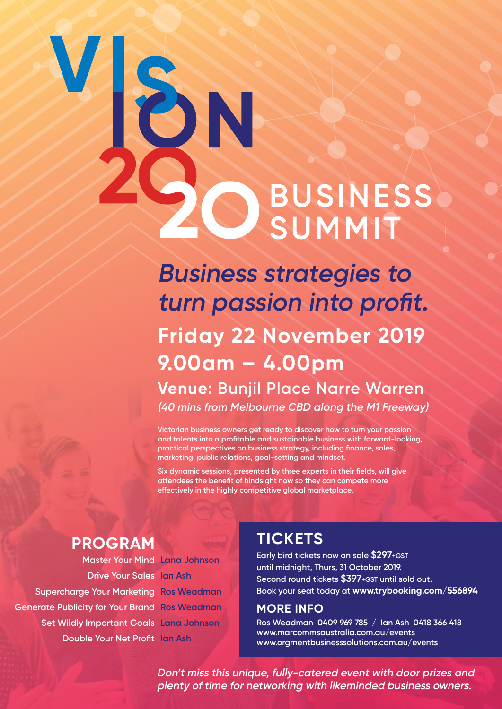# 3 **BUSINESS** SUMMIT

**Business strategies to turn passion into profit. Friday 22 November 2019 9.00am – 4.00pm Venue: Bunjil Place Narre Warren (40 mins from Melbourne CBD along the M1 Freeway)**

**Victorian business owners get ready to discover how to turn your passion and talents into a profitable and sustainable business with forward-looking, practical perspectives on business strategy, including finance, sales, marketing, public relations, goal-setting and mindset.** 

**Six dynamic sessions, presented by three experts in their fields, will give attendees the benefit of hindsight now so they can compete more effectively in the highly competitive global marketplace.**

**Drive Your Sales Ian Ash Supercharge Your Marketing Ros Weadman Generate Publicity for Your Brand Ros Weadman Set Wildly Important Goals Lana Johnson Double Your Net Profit Ian Ash**

**Master Your Mind Lana Johnson**

## **PROGRAM TICKETS**

**Early bird tickets now on sale \$297+GST until midnight, Thurs, 31 October 2019. Second round tickets \$397+GST until sold out. Book your seat today at www.trybooking.com/556894**

#### **MORE INFO**

**Ros Weadman 0409 969 785 / Ian Ash 0418 366 418 www.marcommsaustralia.com.au/events www.orgmentbusinesssolutions.com.au/events**

**Don't miss this unique, fully-catered event with door prizes and plenty of time for networking with likeminded business owners.**